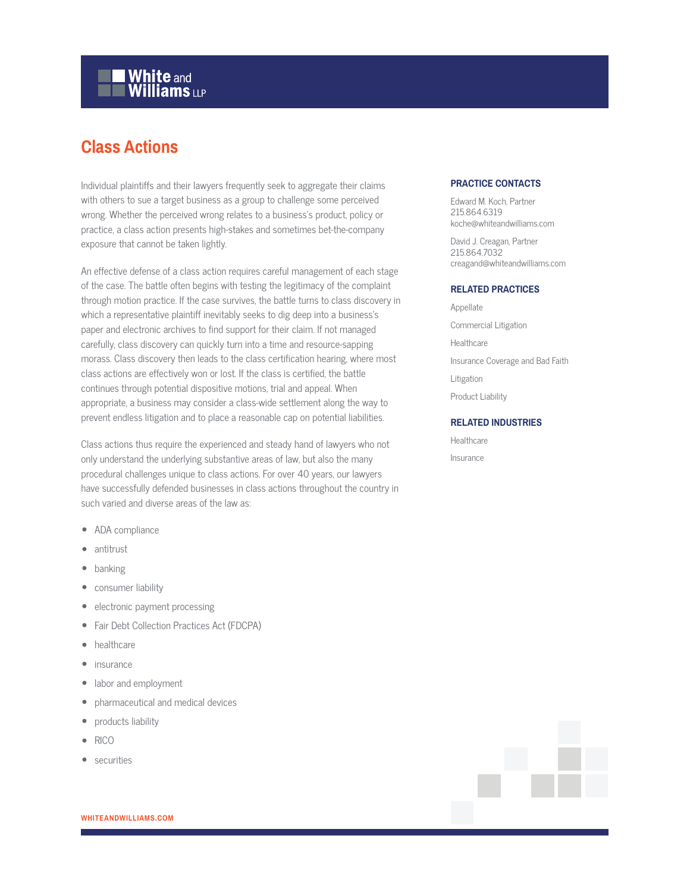# **White and Williams LLP**

# **Class Actions**

Individual plaintiffs and their lawyers frequently seek to aggregate their claims with others to sue a target business as a group to challenge some perceived wrong. Whether the perceived wrong relates to a business's product, policy or practice, a class action presents high-stakes and sometimes bet-the-company exposure that cannot be taken lightly.

An effective defense of a class action requires careful management of each stage of the case. The battle often begins with testing the legitimacy of the complaint through motion practice. If the case survives, the battle turns to class discovery in which a representative plaintiff inevitably seeks to dig deep into a business's paper and electronic archives to find support for their claim. If not managed carefully, class discovery can quickly turn into a time and resource-sapping morass. Class discovery then leads to the class certification hearing, where most class actions are effectively won or lost. If the class is certified, the battle continues through potential dispositive motions, trial and appeal. When appropriate, a business may consider a class-wide settlement along the way to prevent endless litigation and to place a reasonable cap on potential liabilities.

Class actions thus require the experienced and steady hand of lawyers who not only understand the underlying substantive areas of law, but also the many procedural challenges unique to class actions. For over 40 years, our lawyers have successfully defended businesses in class actions throughout the country in such varied and diverse areas of the law as:

- ADA compliance
- antitrust
- banking
- consumer liability
- electronic payment processing
- Fair Debt Collection Practices Act (FDCPA)
- healthcare
- insurance
- labor and employment
- pharmaceutical and medical devices
- products liability
- RICO
- securities

# **PRACTICE CONTACTS**

Edward M. Koch, Partner 215.864.6319 koche@whiteandwilliams.com

David J. Creagan, Partner 215.864.7032 creagand@whiteandwilliams.com

#### **RELATED PRACTICES**

Appellate Commercial Litigation Healthcare Insurance Coverage and Bad Faith Litigation Product Liability

### **RELATED INDUSTRIES**

Healthcare Insurance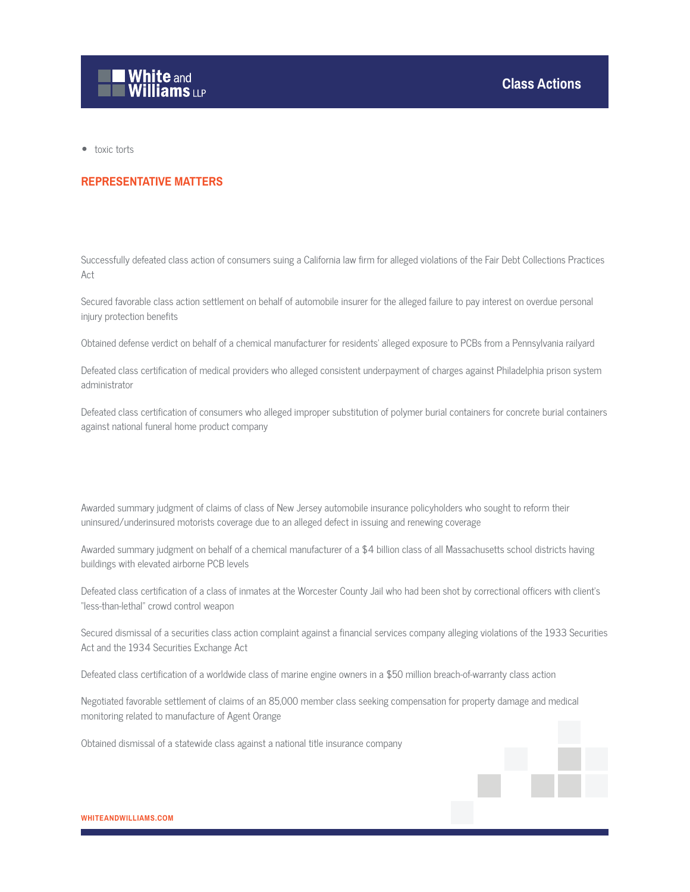

● toxic torts

# **REPRESENTATIVE MATTERS**

Successfully defeated class action of consumers suing a California law firm for alleged violations of the Fair Debt Collections Practices Act

Secured favorable class action settlement on behalf of automobile insurer for the alleged failure to pay interest on overdue personal injury protection benefits

Obtained defense verdict on behalf of a chemical manufacturer for residents' alleged exposure to PCBs from a Pennsylvania railyard

Defeated class certification of medical providers who alleged consistent underpayment of charges against Philadelphia prison system administrator

Defeated class certification of consumers who alleged improper substitution of polymer burial containers for concrete burial containers against national funeral home product company

Awarded summary judgment of claims of class of New Jersey automobile insurance policyholders who sought to reform their uninsured/underinsured motorists coverage due to an alleged defect in issuing and renewing coverage

Awarded summary judgment on behalf of a chemical manufacturer of a \$4 billion class of all Massachusetts school districts having buildings with elevated airborne PCB levels

Defeated class certification of a class of inmates at the Worcester County Jail who had been shot by correctional officers with client's "less-than-lethal" crowd control weapon

Secured dismissal of a securities class action complaint against a financial services company alleging violations of the 1933 Securities Act and the 1934 Securities Exchange Act

Defeated class certification of a worldwide class of marine engine owners in a \$50 million breach-of-warranty class action

Negotiated favorable settlement of claims of an 85,000 member class seeking compensation for property damage and medical monitoring related to manufacture of Agent Orange

Obtained dismissal of a statewide class against a national title insurance company



**WHITEANDWILLIAMS.COM**